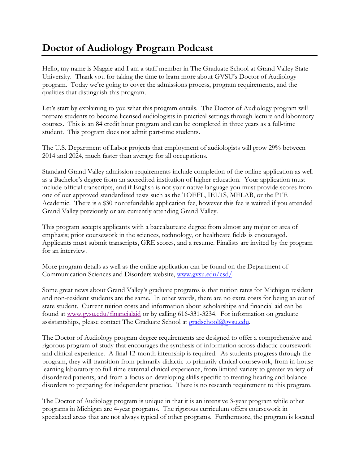## **Doctor of Audiology Program Podcast**

Hello, my name is Maggie and I am a staff member in The Graduate School at Grand Valley State University. Thank you for taking the time to learn more about GVSU's Doctor of Audiology program. Today we're going to cover the admissions process, program requirements, and the qualities that distinguish this program.

Let's start by explaining to you what this program entails. The Doctor of Audiology program will prepare students to become licensed audiologists in practical settings through lecture and laboratory courses. This is an 84 credit hour program and can be completed in three years as a full-time student. This program does not admit part-time students.

The U.S. Department of Labor projects that employment of audiologists will grow 29% between 2014 and 2024, much faster than average for all occupations.

Standard Grand Valley admission requirements include completion of the online application as well as a Bachelor's degree from an accredited institution of higher education. Your application must include official transcripts, and if English is not your native language you must provide scores from one of our approved standardized tests such as the TOEFL, IELTS, MELAB, or the PTE Academic. There is a \$30 nonrefundable application fee, however this fee is waived if you attended Grand Valley previously or are currently attending Grand Valley.

This program accepts applicants with a baccalaureate degree from almost any major or area of emphasis; prior coursework in the sciences, technology, or healthcare fields is encouraged. Applicants must submit transcripts, GRE scores, and a resume. Finalists are invited by the program for an interview.

More program details as well as the online application can be found on the Department of Communication Sciences and Disorders website, [www.gvsu.edu/csd/.](http://www.gvsu.edu/csd/)

Some great news about Grand Valley's graduate programs is that tuition rates for Michigan resident and non-resident students are the same. In other words, there are no extra costs for being an out of state student. Current tuition costs and information about scholarships and financial aid can be found at [www.gvsu.edu/financialaid](http://www.gvsu.edu/financialaid) or by calling 616-331-3234. For information on graduate assistantships, please contact The Graduate School at [gradschool@gvsu.edu.](mailto:gradschool@gvsu.edu)

The Doctor of Audiology program degree requirements are designed to offer a comprehensive and rigorous program of study that encourages the synthesis of information across didactic coursework and clinical experience. A final 12-month internship is required. As students progress through the program, they will transition from primarily didactic to primarily clinical coursework, from in-house learning laboratory to full-time external clinical experience, from limited variety to greater variety of disordered patients, and from a focus on developing skills specific to treating hearing and balance disorders to preparing for independent practice. There is no research requirement to this program.

The Doctor of Audiology program is unique in that it is an intensive 3-year program while other programs in Michigan are 4-year programs. The rigorous curriculum offers coursework in specialized areas that are not always typical of other programs. Furthermore, the program is located